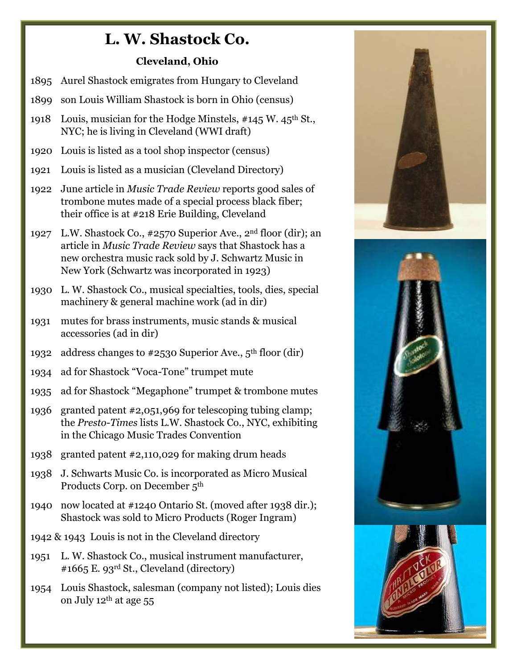## **L. W. Shastock Co.**

## **Cleveland, Ohio**

- 1895 Aurel Shastock emigrates from Hungary to Cleveland
- 1899 son Louis William Shastock is born in Ohio (census)
- 1918 Louis, musician for the Hodge Minstels, #145 W. 45<sup>th</sup> St., NYC; he is living in Cleveland (WWI draft)
- 1920 Louis is listed as a tool shop inspector (census)
- 1921 Louis is listed as a musician (Cleveland Directory)
- 1922 June article in *Music Trade Review* reports good sales of trombone mutes made of a special process black fiber; their office is at #218 Erie Building, Cleveland
- 1927 L.W. Shastock Co., #2570 Superior Ave., 2nd floor (dir); an article in *Music Trade Review* says that Shastock has a new orchestra music rack sold by J. Schwartz Music in New York (Schwartz was incorporated in 1923)
- 1930 L. W. Shastock Co., musical specialties, tools, dies, special machinery & general machine work (ad in dir)
- 1931 mutes for brass instruments, music stands & musical accessories (ad in dir)
- 1932 address changes to #2530 Superior Ave., 5th floor (dir)
- 1934 ad for Shastock "Voca-Tone" trumpet mute
- 1935 ad for Shastock "Megaphone" trumpet & trombone mutes
- 1936 granted patent #2,051,969 for telescoping tubing clamp; the *Presto-Times* lists L.W. Shastock Co., NYC, exhibiting in the Chicago Music Trades Convention
- 1938 granted patent #2,110,029 for making drum heads
- 1938 J. Schwarts Music Co. is incorporated as Micro Musical Products Corp. on December 5th
- 1940 now located at #1240 Ontario St. (moved after 1938 dir.); Shastock was sold to Micro Products (Roger Ingram)
- 1942 & 1943 Louis is not in the Cleveland directory
- 1951 L. W. Shastock Co., musical instrument manufacturer, #1665 E. 93rd St., Cleveland (directory)
- 1954 Louis Shastock, salesman (company not listed); Louis dies on July  $12<sup>th</sup>$  at age 55